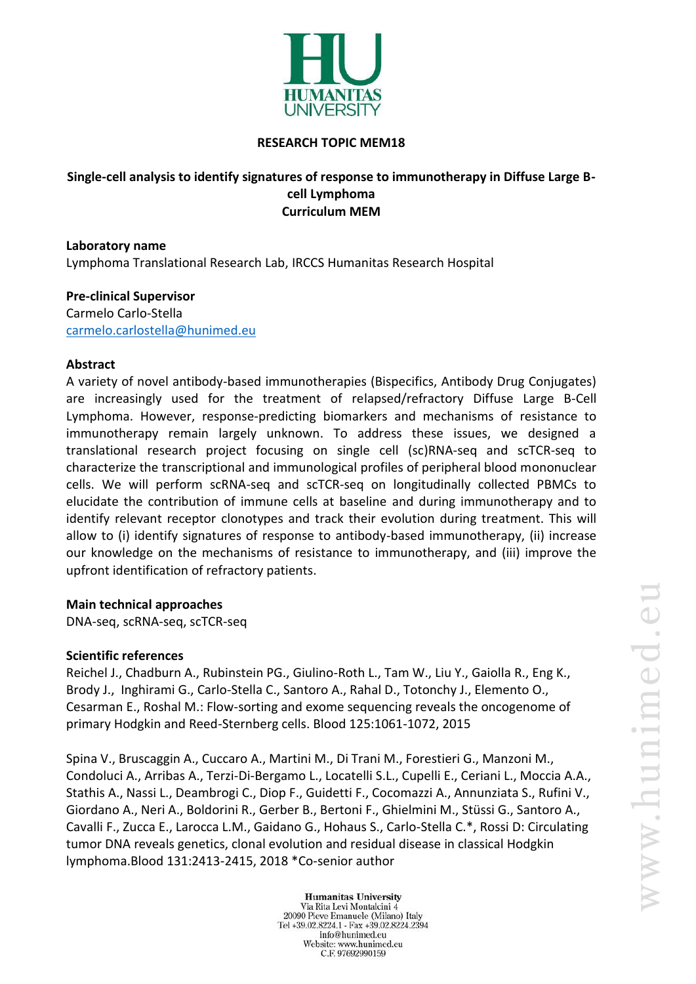

#### **RESEARCH TOPIC MEM18**

### **Single-cell analysis to identify signatures of response to immunotherapy in Diffuse Large Bcell Lymphoma Curriculum MEM**

#### **Laboratory name**

Lymphoma Translational Research Lab, IRCCS Humanitas Research Hospital

# **Pre-clinical Supervisor**

Carmelo Carlo-Stella [carmelo.carlostella@hunimed.eu](mailto:carmelo.carlostella@hunimed.eu)

#### **Abstract**

A variety of novel antibody-based immunotherapies (Bispecifics, Antibody Drug Conjugates) are increasingly used for the treatment of relapsed/refractory Diffuse Large B-Cell Lymphoma. However, response-predicting biomarkers and mechanisms of resistance to immunotherapy remain largely unknown. To address these issues, we designed a translational research project focusing on single cell (sc)RNA-seq and scTCR-seq to characterize the transcriptional and immunological profiles of peripheral blood mononuclear cells. We will perform scRNA-seq and scTCR-seq on longitudinally collected PBMCs to elucidate the contribution of immune cells at baseline and during immunotherapy and to identify relevant receptor clonotypes and track their evolution during treatment. This will allow to (i) identify signatures of response to antibody-based immunotherapy, (ii) increase our knowledge on the mechanisms of resistance to immunotherapy, and (iii) improve the upfront identification of refractory patients.

#### **Main technical approaches**

DNA-seq, scRNA-seq, scTCR-seq

#### **Scientific references**

Reichel J., Chadburn A., Rubinstein PG., Giulino-Roth L., Tam W., Liu Y., Gaiolla R., Eng K., Brody J., Inghirami G., Carlo-Stella C., Santoro A., Rahal D., Totonchy J., Elemento O., Cesarman E., Roshal M.: Flow-sorting and exome sequencing reveals the oncogenome of primary Hodgkin and Reed-Sternberg cells. Blood 125:1061-1072, 2015

Spina V., Bruscaggin A., Cuccaro A., Martini M., Di Trani M., Forestieri G., Manzoni M., Condoluci A., Arribas A., Terzi-Di-Bergamo L., Locatelli S.L., Cupelli E., Ceriani L., Moccia A.A., Stathis A., Nassi L., Deambrogi C., Diop F., Guidetti F., Cocomazzi A., Annunziata S., Rufini V., Giordano A., Neri A., Boldorini R., Gerber B., Bertoni F., Ghielmini M., Stüssi G., Santoro A., Cavalli F., Zucca E., Larocca L.M., Gaidano G., Hohaus S., Carlo-Stella C.\*, Rossi D: Circulating tumor DNA reveals genetics, clonal evolution and residual disease in classical Hodgkin lymphoma.Blood 131:2413-2415, 2018 \*Co-senior author

> **Humanitas University** Via Rita Levi Montalcini 4 20090 Pieve Emanuele (Milano) Italy Tel +39.02.8224.1 - Fax +39.02.8224.2394 info@hunimed.eu Website: www.hunimed.eu C.F. 97692990159